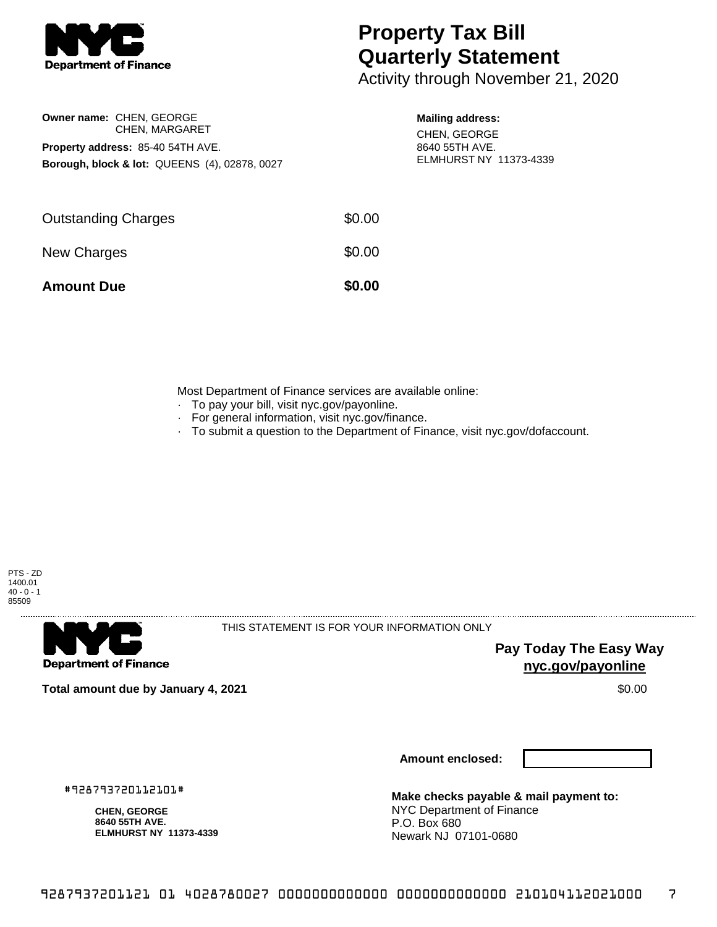

**Owner name:** CHEN, GEORGE

**Property address:** 85-40 54TH AVE.

CHEN, MARGARET

**Borough, block & lot:** QUEENS (4), 02878, 0027

## **Property Tax Bill Quarterly Statement**

Activity through November 21, 2020

|  |  | <b>Mailing address:</b> |
|--|--|-------------------------|
|--|--|-------------------------|

CHEN, GEORGE 8640 55TH AVE. ELMHURST NY 11373-4339

| \$0.00 |
|--------|
| \$0.00 |
| \$0.00 |
|        |

Most Department of Finance services are available online:

- · To pay your bill, visit nyc.gov/payonline.
- For general information, visit nyc.gov/finance.
- · To submit a question to the Department of Finance, visit nyc.gov/dofaccount.





THIS STATEMENT IS FOR YOUR INFORMATION ONLY

**Pay Today The Easy Way nyc.gov/payonline**

**Total amount due by January 4, 2021** \$0.00

**Amount enclosed:**

#928793720112101#

**CHEN, GEORGE 8640 55TH AVE. ELMHURST NY 11373-4339**

**Make checks payable & mail payment to:** NYC Department of Finance P.O. Box 680 Newark NJ 07101-0680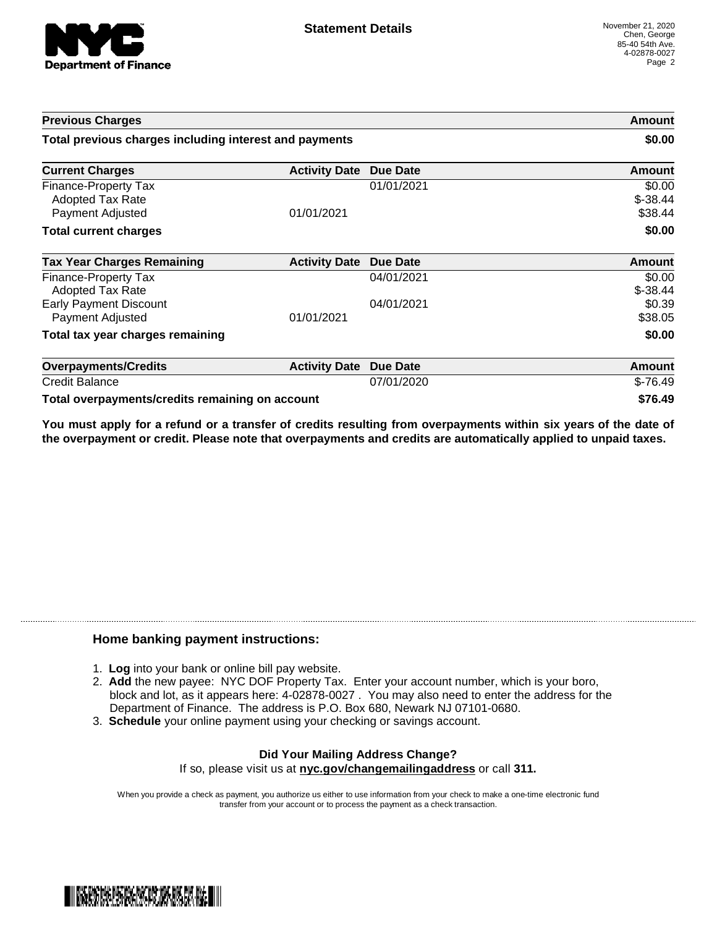

| <b>Previous Charges</b>                                             |                               |                 | Amount                          |
|---------------------------------------------------------------------|-------------------------------|-----------------|---------------------------------|
| Total previous charges including interest and payments              |                               |                 | \$0.00                          |
| <b>Current Charges</b>                                              | <b>Activity Date Due Date</b> |                 | Amount                          |
| Finance-Property Tax<br><b>Adopted Tax Rate</b><br>Payment Adjusted | 01/01/2021                    | 01/01/2021      | \$0.00<br>$$ -38.44$<br>\$38.44 |
| <b>Total current charges</b>                                        |                               |                 | \$0.00                          |
| <b>Tax Year Charges Remaining</b>                                   | <b>Activity Date</b>          | Due Date        | <b>Amount</b>                   |
| Finance-Property Tax<br>Adopted Tax Rate                            |                               | 04/01/2021      | \$0.00<br>$$ -38.44$            |
| <b>Early Payment Discount</b><br>Payment Adjusted                   | 01/01/2021                    | 04/01/2021      | \$0.39<br>\$38.05               |
| Total tax year charges remaining                                    |                               |                 | \$0.00                          |
| <b>Overpayments/Credits</b>                                         | <b>Activity Date</b>          | <b>Due Date</b> | Amount                          |
| <b>Credit Balance</b>                                               |                               | 07/01/2020      | $$-76.49$                       |
| Total overpayments/credits remaining on account                     |                               |                 | \$76.49                         |

You must apply for a refund or a transfer of credits resulting from overpayments within six years of the date of **the overpayment or credit. Please note that overpayments and credits are automatically applied to unpaid taxes.**

## **Home banking payment instructions:**

- 1. **Log** into your bank or online bill pay website.
- 2. **Add** the new payee: NYC DOF Property Tax. Enter your account number, which is your boro, block and lot, as it appears here: 4-02878-0027 . You may also need to enter the address for the Department of Finance. The address is P.O. Box 680, Newark NJ 07101-0680.
- 3. **Schedule** your online payment using your checking or savings account.

## **Did Your Mailing Address Change?** If so, please visit us at **nyc.gov/changemailingaddress** or call **311.**

When you provide a check as payment, you authorize us either to use information from your check to make a one-time electronic fund transfer from your account or to process the payment as a check transaction.